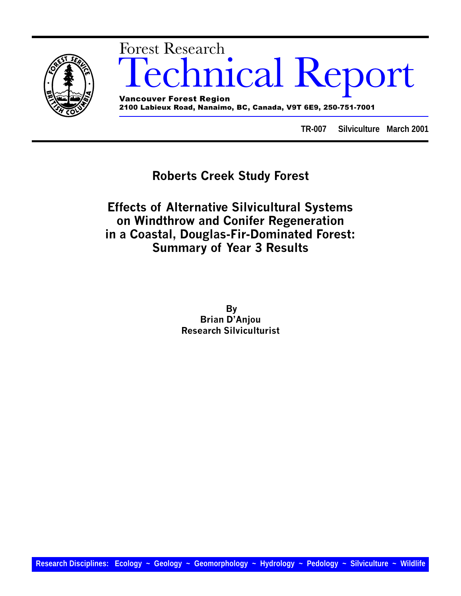

# mical Report Forest Research Vancouver Forest Region

2100 Labieux Road, Nanaimo, BC, Canada, V9T 6E9, 250-751-7001

**TR-007 Silviculture March 2001**

## Roberts Creek Study Forest

Effects of Alternative Silvicultural Systems on Windthrow and Conifer Regeneration in a Coastal, Douglas-Fir-Dominated Forest: Summary of Year 3 Results

> By **Brian D'Anjou** Research Silviculturist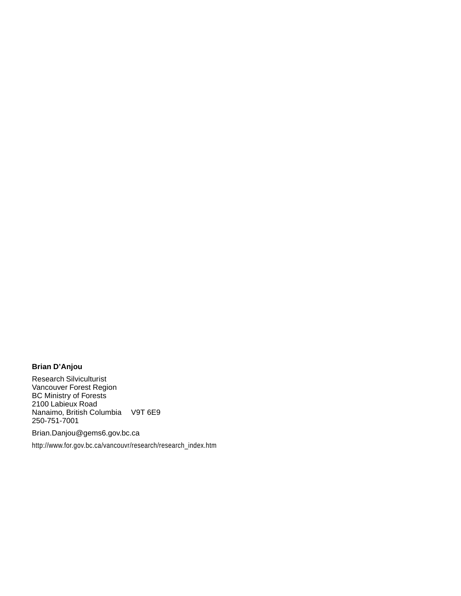### **Brian D'Anjou**

Research Silviculturist Vancouver Forest Region BC Ministry of Forests 2100 Labieux Road Nanaimo, British Columbia V9T 6E9 250-751-7001

Brian.Danjou@gems6.gov.bc.ca

http://www.for.gov.bc.ca/vancouvr/research/research\_index.htm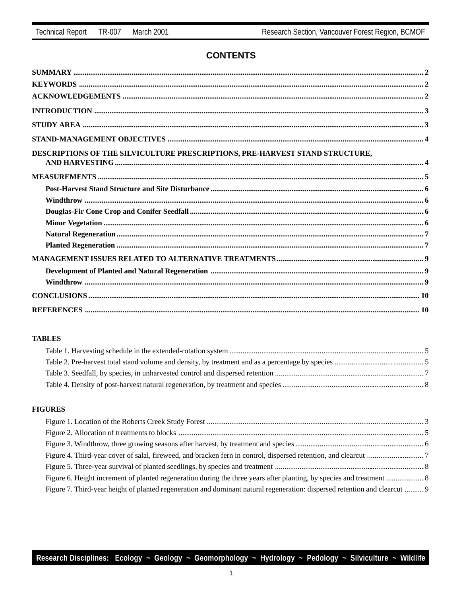### **CONTENTS**

| DESCRIPTIONS OF THE SILVICULTURE PRESCRIPTIONS, PRE-HARVEST STAND STRUCTURE, |  |
|------------------------------------------------------------------------------|--|
|                                                                              |  |
|                                                                              |  |
|                                                                              |  |
|                                                                              |  |
|                                                                              |  |
|                                                                              |  |
|                                                                              |  |
|                                                                              |  |
|                                                                              |  |
|                                                                              |  |
|                                                                              |  |
|                                                                              |  |

### **TABLES**

### **FIGURES**

| Figure 7. Third-year height of planted regeneration and dominant natural regeneration: dispersed retention and clearcut  9 |  |
|----------------------------------------------------------------------------------------------------------------------------|--|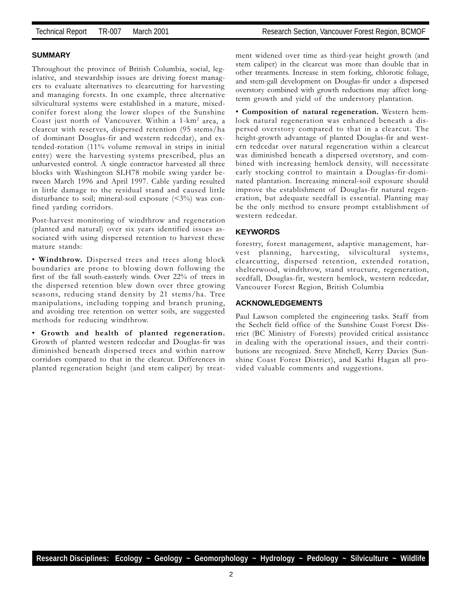### **SUMMARY**

Throughout the province of British Columbia, social, legislative, and stewardship issues are driving forest managers to evaluate alternatives to clearcutting for harvesting and managing forests. In one example, three alternative silvicultural systems were established in a mature, mixedconifer forest along the lower slopes of the Sunshine Coast just north of Vancouver. Within a 1-km2 area, a clearcut with reserves, dispersed retention (95 stems/ha of dominant Douglas-fir and western redcedar), and extended-rotation (11% volume removal in strips in initial entry) were the harvesting systems prescribed, plus an unharvested control. A single contractor harvested all three blocks with Washington SLH78 mobile swing yarder between March 1996 and April 1997. Cable yarding resulted in little damage to the residual stand and caused little disturbance to soil; mineral-soil exposure  $($ <3%) was confined yarding corridors.

Post-harvest monitoring of windthrow and regeneration (planted and natural) over six years identified issues associated with using dispersed retention to harvest these mature stands:

 Windthrow. Dispersed trees and trees along block boundaries are prone to blowing down following the first of the fall south-easterly winds. Over 22% of trees in the dispersed retention blew down over three growing seasons, reducing stand density by 21 stems/ha. Tree manipulations, including topping and branch pruning, and avoiding tree retention on wetter soils, are suggested methods for reducing windthrow.

 Growth and health of planted regeneration. Growth of planted western redcedar and Douglas-fir was diminished beneath dispersed trees and within narrow corridors compared to that in the clearcut. Differences in planted regeneration height (and stem caliper) by treatment widened over time as third-year height growth (and stem caliper) in the clearcut was more than double that in other treatments. Increase in stem forking, chlorotic foliage, and stem-gall development on Douglas-fir under a dispersed overstory combined with growth reductions may affect longterm growth and yield of the understory plantation.

 Composition of natural regeneration. Western hemlock natural regeneration was enhanced beneath a dispersed overstory compared to that in a clearcut. The height-growth advantage of planted Douglas-fir and western redcedar over natural regeneration within a clearcut was diminished beneath a dispersed overstory, and combined with increasing hemlock density, will necessitate early stocking control to maintain a Douglas-fir-dominated plantation. Increasing mineral-soil exposure should improve the establishment of Douglas-fir natural regeneration, but adequate seedfall is essential. Planting may be the only method to ensure prompt establishment of western redcedar.

### **KEYWORDS**

forestry, forest management, adaptive management, harvest planning, harvesting, silvicultural systems, clearcutting, dispersed retention, extended rotation, shelterwood, windthrow, stand structure, regeneration, seedfall, Douglas-fir, western hemlock, western redcedar, Vancouver Forest Region, British Columbia

### **ACKNOWLEDGEMENTS**

Paul Lawson completed the engineering tasks. Staff from the Sechelt field office of the Sunshine Coast Forest District (BC Ministry of Forests) provided critical assistance in dealing with the operational issues, and their contributions are recognized. Steve Mitchell, Kerry Davies (Sunshine Coast Forest District), and Kathi Hagan all provided valuable comments and suggestions.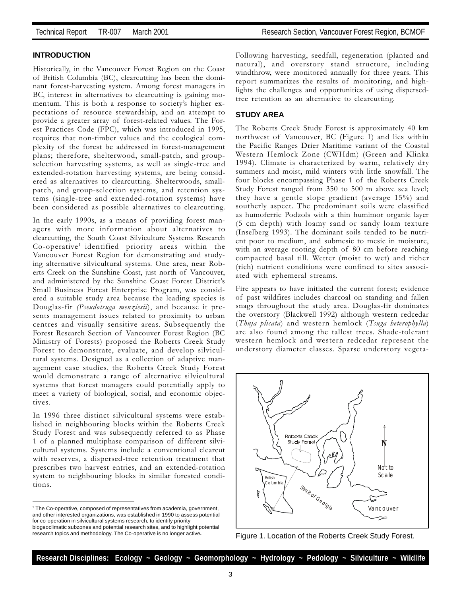### **INTRODUCTION**

Historically, in the Vancouver Forest Region on the Coast of British Columbia (BC), clearcutting has been the dominant forest-harvesting system. Among forest managers in BC, interest in alternatives to clearcutting is gaining momentum. This is both a response to society's higher expectations of resource stewardship, and an attempt to provide a greater array of forest-related values. The Forest Practices Code (FPC), which was introduced in 1995, requires that non-timber values and the ecological complexity of the forest be addressed in forest-management plans; therefore, shelterwood, small-patch, and groupselection harvesting systems, as well as single-tree and extended-rotation harvesting systems, are being considered as alternatives to clearcutting. Shelterwoods, smallpatch, and group-selection systems, and retention systems (single-tree and extended-rotation systems) have been considered as possible alternatives to clearcutting.

In the early 1990s, as a means of providing forest managers with more information about alternatives to clearcutting, the South Coast Silviculture Systems Research Co-operative<sup>1</sup> identified priority areas within the Vancouver Forest Region for demonstrating and studying alternative silvicultural systems. One area, near Roberts Creek on the Sunshine Coast, just north of Vancouver, and administered by the Sunshine Coast Forest District's Small Business Forest Enterprise Program, was considered a suitable study area because the leading species is Douglas-fir (Pseudotsuga menziesii), and because it presents management issues related to proximity to urban centres and visually sensitive areas. Subsequently the Forest Research Section of Vancouver Forest Region (BC Ministry of Forests) proposed the Roberts Creek Study Forest to demonstrate, evaluate, and develop silvicultural systems. Designed as a collection of adaptive management case studies, the Roberts Creek Study Forest would demonstrate a range of alternative silvicultural systems that forest managers could potentially apply to meet a variety of biological, social, and economic objectives.

In 1996 three distinct silvicultural systems were established in neighbouring blocks within the Roberts Creek Study Forest and was subsequently referred to as Phase 1 of a planned multiphase comparison of different silvicultural systems. Systems include a conventional clearcut with reserves, a dispersed-tree retention treatment that prescribes two harvest entries, and an extended-rotation system to neighbouring blocks in similar forested conditions.

Following harvesting, seedfall, regeneration (planted and natural), and overstory stand structure, including windthrow, were monitored annually for three years. This report summarizes the results of monitoring, and highlights the challenges and opportunities of using dispersedtree retention as an alternative to clearcutting.

### **STUDY AREA**

The Roberts Creek Study Forest is approximately 40 km northwest of Vancouver, BC (Figure 1) and lies within the Pacific Ranges Drier Maritime variant of the Coastal Western Hemlock Zone (CWHdm) (Green and Klinka 1994). Climate is characterized by warm, relatively dry summers and moist, mild winters with little snowfall. The four blocks encompassing Phase 1 of the Roberts Creek Study Forest ranged from 350 to 500 m above sea level; they have a gentle slope gradient (average 15%) and southerly aspect. The predominant soils were classified as humoferric Podzols with a thin humimor organic layer (5 cm depth) with loamy sand or sandy loam texture (Inselberg 1993). The dominant soils tended to be nutrient poor to medium, and submesic to mesic in moisture, with an average rooting depth of 80 cm before reaching compacted basal till. Wetter (moist to wet) and richer (rich) nutrient conditions were confined to sites associated with ephemeral streams.

Fire appears to have initiated the current forest; evidence of past wildfires includes charcoal on standing and fallen snags throughout the study area. Douglas-fir dominates the overstory (Blackwell 1992) although western redcedar (Thuja plicata) and western hemlock (Tsuga heterophylla) are also found among the tallest trees. Shade-tolerant western hemlock and western redcedar represent the understory diameter classes. Sparse understory vegeta-



Figure 1. Location of the Roberts Creek Study Forest.

<sup>1</sup> The Co-operative, composed of representatives from academia, government, and other interested organizations, was established in 1990 to assess potential for co-operation in silvicultural systems research, to identify priority biogeoclimatic subzones and potential research sites, and to highlight potential research topics and methodology. The Co-operative is no longer active**.**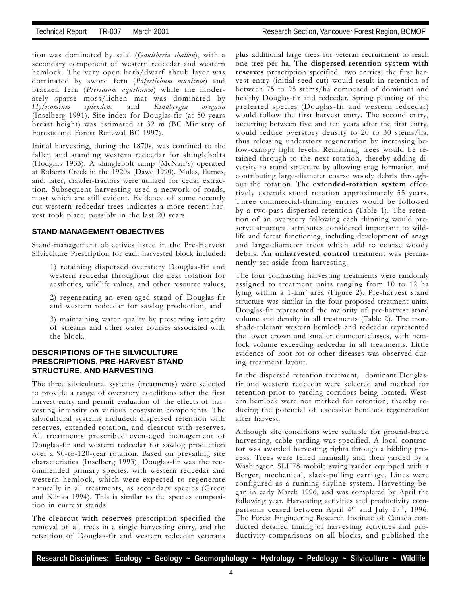tion was dominated by salal (Gaultheria shallon), with a secondary component of western redcedar and western hemlock. The very open herb/dwarf shrub layer was dominated by sword fern (Polystichum munitum) and bracken fern (Pteridium aquilinum) while the moderately sparse moss/lichen mat was dominated by<br>Hylocomium splendens and Kindbergia oregana Hylocomium splendens and Kindbergia oregana (Inselberg 1991). Site index for Douglas-fir (at 50 years breast height) was estimated at 32 m (BC Ministry of Forests and Forest Renewal BC 1997).

Initial harvesting, during the 1870s, was confined to the fallen and standing western redcedar for shinglebolts (Hodgins 1933). A shinglebolt camp (McNair's) operated at Roberts Creek in the 1920s (Dawe 1990). Mules, flumes, and, later, crawler-tractors were utilized for cedar extraction. Subsequent harvesting used a network of roads, most which are still evident. Evidence of some recently cut western redcedar trees indicates a more recent harvest took place, possibly in the last 20 years.

### **STAND-MANAGEMENT OBJECTIVES**

Stand-management objectives listed in the Pre-Harvest Silviculture Prescription for each harvested block included:

1) retaining dispersed overstory Douglas-fir and western redcedar throughout the next rotation for aesthetics, wildlife values, and other resource values,

2) regenerating an even-aged stand of Douglas-fir and western redcedar for sawlog production, and

3) maintaining water quality by preserving integrity of streams and other water courses associated with the block.

### **DESCRIPTIONS OF THE SILVICULTURE PRESCRIPTIONS, PRE-HARVEST STAND STRUCTURE, AND HARVESTING**

The three silvicultural systems (treatments) were selected to provide a range of overstory conditions after the first harvest entry and permit evaluation of the effects of harvesting intensity on various ecosystem components. The silvicultural systems included: dispersed retention with reserves, extended-rotation, and clearcut with reserves. All treatments prescribed even-aged management of Douglas-fir and western redcedar for sawlog production over a 90-to-120-year rotation. Based on prevailing site characteristics (Inselberg 1993), Douglas-fir was the recommended primary species, with western redcedar and western hemlock, which were expected to regenerate naturally in all treatments, as secondary species (Green and Klinka 1994). This is similar to the species composition in current stands.

The clearcut with reserves prescription specified the removal of all trees in a single harvesting entry, and the retention of Douglas-fir and western redcedar veterans plus additional large trees for veteran recruitment to reach one tree per ha. The dispersed retention system with reserves prescription specified two entries; the first harvest entry (initial seed cut) would result in retention of between 75 to 95 stems/ha composed of dominant and healthy Douglas-fir and redcedar. Spring planting of the preferred species (Douglas-fir and western redcedar) would follow the first harvest entry. The second entry, occurring between five and ten years after the first entry, would reduce overstory density to 20 to 30 stems/ha, thus releasing understory regeneration by increasing below-canopy light levels. Remaining trees would be retained through to the next rotation, thereby adding diversity to stand structure by allowing snag formation and contributing large-diameter coarse woody debris throughout the rotation. The extended-rotation system effectively extends stand rotation approximately 55 years. Three commercial-thinning entries would be followed by a two-pass dispersed retention (Table 1). The retention of an overstory following each thinning would preserve structural attributes considered important to wildlife and forest functioning, including development of snags and large-diameter trees which add to coarse woody debris. An unharvested control treatment was permanently set aside from harvesting.

The four contrasting harvesting treatments were randomly assigned to treatment units ranging from 10 to 12 ha lying within a 1-km<sup>2</sup> area (Figure 2). Pre-harvest stand structure was similar in the four proposed treatment units. Douglas-fir represented the majority of pre-harvest stand volume and density in all treatments (Table 2). The more shade-tolerant western hemlock and redcedar represented the lower crown and smaller diameter classes, with hemlock volume exceeding redcedar in all treatments. Little evidence of root rot or other diseases was observed during treatment layout.

In the dispersed retention treatment, dominant Douglasfir and western redcedar were selected and marked for retention prior to yarding corridors being located. Western hemlock were not marked for retention, thereby reducing the potential of excessive hemlock regeneration after harvest.

Although site conditions were suitable for ground-based harvesting, cable yarding was specified. A local contractor was awarded harvesting rights through a bidding process. Trees were felled manually and then yarded by a Washington SLH78 mobile swing yarder equipped with a Berger, mechanical, slack-pulling carriage. Lines were configured as a running skyline system. Harvesting began in early March 1996, and was completed by April the following year. Harvesting activities and productivity comparisons ceased between April 4<sup>th</sup> and July 17<sup>th</sup>, 1996. The Forest Engineering Research Institute of Canada conducted detailed timing of harvesting activities and productivity comparisons on all blocks, and published the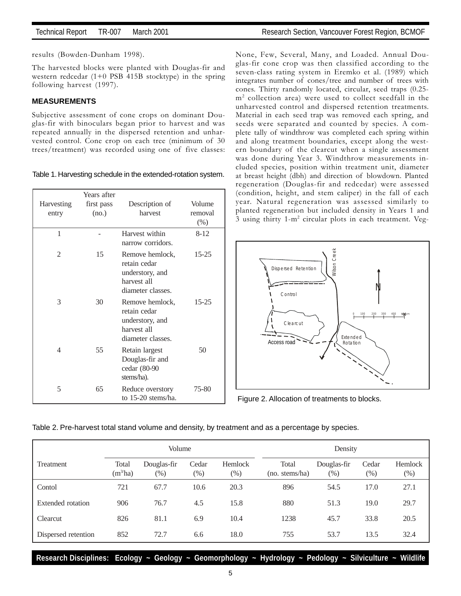results (Bowden-Dunham 1998).

The harvested blocks were planted with Douglas-fir and western redcedar (1+0 PSB 415B stocktype) in the spring following harvest (1997).

### **MEASUREMENTS**

Subjective assessment of cone crops on dominant Douglas-fir with binoculars began prior to harvest and was repeated annually in the dispersed retention and unharvested control. Cone crop on each tree (minimum of 30 trees/treatment) was recorded using one of five classes:

Table 1. Harvesting schedule in the extended-rotation system.

|            | Years after |                                                                                        |           |
|------------|-------------|----------------------------------------------------------------------------------------|-----------|
| Harvesting | first pass  | Description of                                                                         | Volume    |
| entry      | (no.)       | harvest                                                                                | removal   |
|            |             |                                                                                        | $(\%)$    |
| 1          |             | Harvest within<br>narrow corridors.                                                    | $8 - 12$  |
| 2          | 15          | Remove hemlock,<br>retain cedar<br>understory, and<br>harvest all<br>diameter classes. | $15 - 25$ |
| 3          | 30          | Remove hemlock,<br>retain cedar<br>understory, and<br>harvest all<br>diameter classes. | $15 - 25$ |
| 4          | 55          | Retain largest<br>Douglas-fir and<br>cedar (80-90<br>stems/ha).                        | 50        |
| 5          | 65          | Reduce overstory<br>to 15-20 stems/ha.                                                 | 75-80     |

None, Few, Several, Many, and Loaded. Annual Douglas-fir cone crop was then classified according to the seven-class rating system in Eremko et al. (1989) which integrates number of cones/tree and number of trees with cones. Thirty randomly located, circular, seed traps (0.25 m2 collection area) were used to collect seedfall in the unharvested control and dispersed retention treatments. Material in each seed trap was removed each spring, and seeds were separated and counted by species. A complete tally of windthrow was completed each spring within and along treatment boundaries, except along the western boundary of the clearcut when a single assessment was done during Year 3. Windthrow measurements included species, position within treatment unit, diameter at breast height (dbh) and direction of blowdown. Planted regeneration (Douglas-fir and redcedar) were assessed (condition, height, and stem caliper) in the fall of each year. Natural regeneration was assessed similarly to planted regeneration but included density in Years 1 and 3 using thirty 1-m<sup>2</sup> circular plots in each treatment. Veg-



Figure 2. Allocation of treatments to blocks.

| Table 2. Pre-harvest total stand volume and density, by treatment and as a percentage by species. |  |  |
|---------------------------------------------------------------------------------------------------|--|--|
|                                                                                                   |  |  |

|                     | Volume              |                       |                 |                   | Density                 |                     |                 |                   |
|---------------------|---------------------|-----------------------|-----------------|-------------------|-------------------------|---------------------|-----------------|-------------------|
| Treatment           | Total<br>$(m^3/ha)$ | Douglas-fir<br>$(\%)$ | Cedar<br>$(\%)$ | Hemlock<br>$(\%)$ | Total<br>(no. stems/ha) | Douglas-fir<br>(% ) | Cedar<br>$(\%)$ | Hemlock<br>$(\%)$ |
| Contol              | 721                 | 67.7                  | 10.6            | 20.3              | 896                     | 54.5                | 17.0            | 27.1              |
| Extended rotation   | 906                 | 76.7                  | 4.5             | 15.8              | 880                     | 51.3                | 19.0            | 29.7              |
| Clearcut            | 826                 | 81.1                  | 6.9             | 10.4              | 1238                    | 45.7                | 33.8            | 20.5              |
| Dispersed retention | 852                 | 72.7                  | 6.6             | 18.0              | 755                     | 53.7                | 13.5            | 32.4              |

**Research Disciplines: Ecology ~ Geology ~ Geomorphology ~ Hydrology ~ Pedology ~ Silviculture ~ Wildlife**

5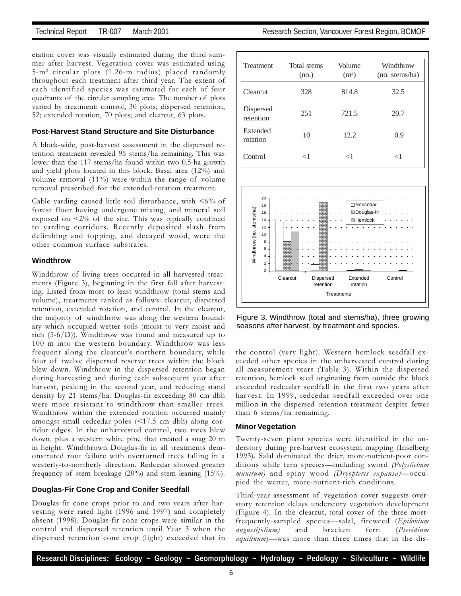etation cover was visually estimated during the third summer after harvest. Vegetation cover was estimated using 5-m2 circular plots (1.26-m radius) placed randomly throughout each treatment after third year. The extent of each identified species was estimated for each of four quadrants of the circular sampling area. The number of plots varied by treatment: control, 30 plots; dispersed retention, 52; extended rotation, 70 plots; and clearcut, 63 plots.

### **Post-Harvest Stand Structure and Site Disturbance**

A block-wide, post-harvest assessment in the dispersed retention treatment revealed 95 stems/ha remaining. This was lower than the 117 stems/ha found within two 0.5-ha growth and yield plots located in this block. Basal area (12%) and volume removal (11%) were within the range of volume removal prescribed for the extended-rotation treatment.

Cable yarding caused little soil disturbance, with <6% of forest floor having undergone mixing, and mineral soil exposed on <2% of the site. This was typically confined to yarding corridors. Recently deposited slash from delimbing and topping, and decayed wood, were the other common surface substrates.

### **Windthrow**

Windthrow of living trees occurred in all harvested treatments (Figure 3), beginning in the first fall after harvesting. Listed from most to least windthrow (total stems and volume), treatments ranked as follows: clearcut, dispersed retention, extended rotation, and control. In the clearcut, the majority of windthrow was along the western boundary which occupied wetter soils (moist to very moist and rich (5-6/D)). Windthrow was found and measured up to 100 m into the western boundary. Windthrow was less frequent along the clearcut's northern boundary, while four of twelve dispersed reserve trees within the block blew down. Windthrow in the dispersed retention began during harvesting and during each subsequent year after harvest, peaking in the second year, and reducing stand density by 21 stems/ha. Douglas-fir exceeding 80 cm dbh were more resistant to windthrow than smaller trees. Windthrow within the extended rotation occurred mainly amongst small redcedar poles (<17.5 cm dbh) along corridor edges. In the unharvested control, two trees blew down, plus a western white pine that created a snag 20 m in height. Windthrown Douglas-fir in all treatments demonstrated root failure with overturned trees falling in a westerly-to-northerly direction. Redcedar showed greater frequency of stem breakage (20%) and stem leaning (15%).

### **Douglas-Fir Cone Crop and Conifer Seedfall**

Douglas-fir cone crops prior to and two years after harvesting were rated light (1996 and 1997) and completely absent (1998). Douglas-fir cone crops were similar in the control and dispersed retention until Year 3 when the dispersed retention cone crop (light) exceeded that in

| Treatment              | Total stems<br>(no.) | Volume<br>(m <sup>3</sup> ) | Windthrow<br>(no. stems/ha) |
|------------------------|----------------------|-----------------------------|-----------------------------|
| Clearcut               | 328                  | 814.8                       | 32.5                        |
| Dispersed<br>retention | 251                  | 721.5                       | 20.7                        |
| Extended<br>rotation   | 10                   | 12.2                        | 0.9                         |
| Control                | $<$ 1                | ${<}1$                      | $<$ 1                       |



Figure 3. Windthrow (total and stems/ha), three growing seasons after harvest, by treatment and species.

the control (very light). Western hemlock seedfall exceeded other species in the unharvested control during all measurement years (Table 3). Within the dispersed retention, hemlock seed originating from outside the block exceeded redcedar seedfall in the first two years after harvest. In 1999, redcedar seedfall exceeded over one million in the dispersed retention treatment despite fewer than 6 stems/ha remaining.

### **Minor Vegetation**

Twenty-seven plant species were identified in the understory during pre-harvest ecosystem mapping (Inselberg 1993). Salal dominated the drier, more-nutrient-poor conditions while fern species-including sword (Polystichum  $munitum)$  and spiny wood (Dryopteris expansa)-occupied the wetter, more-nutrient-rich conditions.

Third-year assessment of vegetation cover suggests overstory retention delays understory vegetation development (Figure 4). In the clearcut, total cover of the three mostfrequently-sampled species-salal, fireweed (Epilobium angustifolium) and bracken fern (Pteridium *aquilinum*)—was more than three times that in the dis-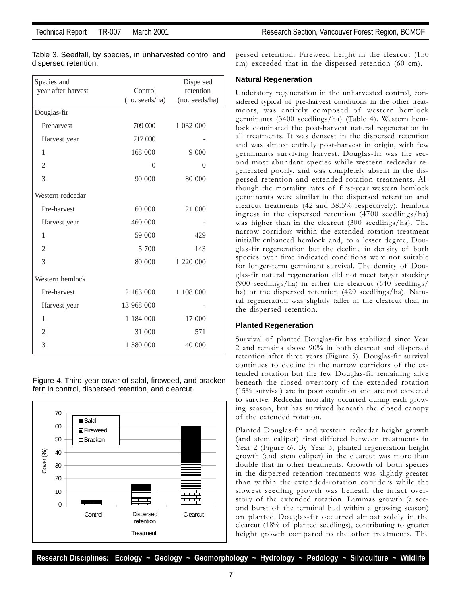| Species and        |                | Dispersed      |
|--------------------|----------------|----------------|
| year after harvest | Control        | retention      |
|                    | (no. seeds/ha) | (no. seeds/ha) |
| Douglas-fir        |                |                |
| Preharvest         | 709 000        | 1 032 000      |
| Harvest year       | 717 000        |                |
| 1                  | 168 000        | 9 0 0 0        |
| $\overline{2}$     | $\Omega$       | $\Omega$       |
| 3                  | 90 000         | 80 000         |
| Western redcedar   |                |                |
| Pre-harvest        | 60 000         | 21 000         |
| Harvest year       | 460 000        |                |
| 1                  | 59 000         | 429            |
| $\overline{2}$     | 5 700          | 143            |
| 3                  | 80 000         | 1 220 000      |
| Western hemlock    |                |                |
| Pre-harvest        | 2 163 000      | 1 108 000      |
| Harvest year       | 13 968 000     |                |
| 1                  | 1 184 000      | 17 000         |
| $\overline{c}$     | 31 000         | 571            |
| 3                  | 1 380 000      | 40 000         |
|                    |                |                |

Table 3. Seedfall, by species, in unharvested control and dispersed retention.

Figure 4. Third-year cover of salal, fireweed, and bracken fern in control, dispersed retention, and clearcut.



persed retention. Fireweed height in the clearcut (150 cm) exceeded that in the dispersed retention (60 cm).

### **Natural Regeneration**

Understory regeneration in the unharvested control, considered typical of pre-harvest conditions in the other treatments, was entirely composed of western hemlock germinants (3400 seedlings/ha) (Table 4). Western hemlock dominated the post-harvest natural regeneration in all treatments. It was densest in the dispersed retention and was almost entirely post-harvest in origin, with few germinants surviving harvest. Douglas-fir was the second-most-abundant species while western redcedar regenerated poorly, and was completely absent in the dispersed retention and extended-rotation treatments. Although the mortality rates of first-year western hemlock germinants were similar in the dispersed retention and clearcut treatments (42 and 38.5% respectively), hemlock ingress in the dispersed retention (4700 seedlings/ha) was higher than in the clearcut (300 seedlings/ha). The narrow corridors within the extended rotation treatment initially enhanced hemlock and, to a lesser degree, Douglas-fir regeneration but the decline in density of both species over time indicated conditions were not suitable for longer-term germinant survival. The density of Douglas-fir natural regeneration did not meet target stocking (900 seedlings/ha) in either the clearcut (640 seedlings/ ha) or the dispersed retention (420 seedlings/ha). Natural regeneration was slightly taller in the clearcut than in the dispersed retention.

### **Planted Regeneration**

Survival of planted Douglas-fir has stabilized since Year 2 and remains above 90% in both clearcut and dispersed retention after three years (Figure 5). Douglas-fir survival continues to decline in the narrow corridors of the extended rotation but the few Douglas-fir remaining alive beneath the closed overstory of the extended rotation (15% survival) are in poor condition and are not expected to survive. Redcedar mortality occurred during each growing season, but has survived beneath the closed canopy of the extended rotation.

Planted Douglas-fir and western redcedar height growth (and stem caliper) first differed between treatments in Year 2 (Figure 6). By Year 3, planted regeneration height growth (and stem caliper) in the clearcut was more than double that in other treatments. Growth of both species in the dispersed retention treatments was slightly greater than within the extended-rotation corridors while the slowest seedling growth was beneath the intact overstory of the extended rotation. Lammas growth (a second burst of the terminal bud within a growing season) on planted Douglas-fir occurred almost solely in the clearcut (18% of planted seedlings), contributing to greater height growth compared to the other treatments. The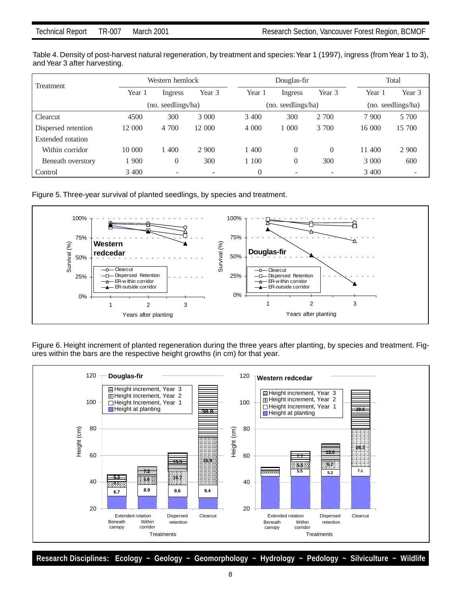Table 4. Density of post-harvest natural regeneration, by treatment and species: Year 1 (1997), ingress (from Year 1 to 3), and Year 3 after harvesting.

| Treatment           | Western hemlock    |          |         | Douglas-fir        |          |                          |         | Total              |  |
|---------------------|--------------------|----------|---------|--------------------|----------|--------------------------|---------|--------------------|--|
|                     | Year 1             | Ingress  | Year 3  | Year 1             | Ingress  | Year 3                   | Year 1  | Year 3             |  |
|                     | (no. seedlings/ha) |          |         | (no. seedlings/ha) |          |                          |         | (no. seedlings/ha) |  |
| Clearcut            | 4500               | 300      | 3 0 0 0 | 3 4 0 0            | 300      | 2 700                    | 7 900   | 5 700              |  |
| Dispersed retention | 12 000             | 4 700    | 12 000  | 4 0 0 0            | 1 000    | 3 700                    | 16 000  | 15 700             |  |
| Extended rotation   |                    |          |         |                    |          |                          |         |                    |  |
| Within corridor     | 10 000             | 1 400    | 2 9 0 0 | 1 400              | $\Omega$ | $\Omega$                 | 11 400  | 2 9 0 0            |  |
| Beneath overstory   | 1 900              | $\theta$ | 300     | 1 100              | 0        | 300                      | 3 0 0 0 | 600                |  |
| Control             | 3 400              | $\sim$   |         | $\Omega$           |          | $\overline{\phantom{a}}$ | 3 400   | -                  |  |

Figure 5. Three-year survival of planted seedlings, by species and treatment.



Figure 6. Height increment of planted regeneration during the three years after planting, by species and treatment. Figures within the bars are the respective height growths (in cm) for that year.

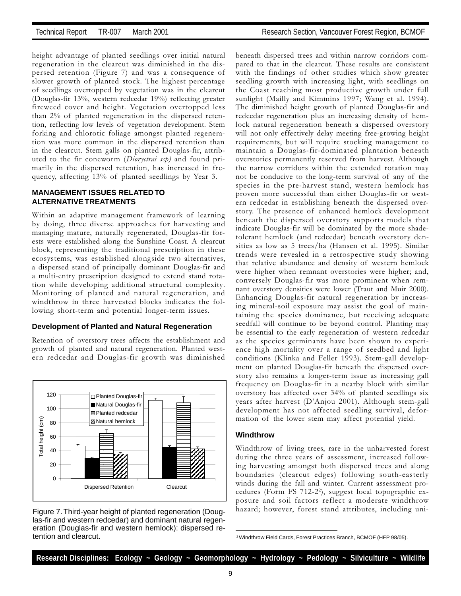height advantage of planted seedlings over initial natural regeneration in the clearcut was diminished in the dispersed retention (Figure 7) and was a consequence of slower growth of planted stock. The highest percentage of seedlings overtopped by vegetation was in the clearcut (Douglas-fir 13%, western redcedar 19%) reflecting greater fireweed cover and height. Vegetation overtopped less than 2% of planted regeneration in the dispersed retention, reflecting low levels of vegetation development. Stem forking and chlorotic foliage amongst planted regeneration was more common in the dispersed retention than in the clearcut. Stem galls on planted Douglas-fir, attributed to the fir coneworm (Dioryctrai ssp) and found primarily in the dispersed retention, has increased in frequency, affecting 13% of planted seedlings by Year 3.

### **MANAGEMENT ISSUES RELATED TO ALTERNATIVE TREATMENTS**

Within an adaptive management framework of learning by doing, three diverse approaches for harvesting and managing mature, naturally regenerated, Douglas-fir forests were established along the Sunshine Coast. A clearcut block, representing the traditional prescription in these ecosystems, was established alongside two alternatives, a dispersed stand of principally dominant Douglas-fir and a multi-entry prescription designed to extend stand rotation while developing additional structural complexity. Monitoring of planted and natural regeneration, and windthrow in three harvested blocks indicates the following short-term and potential longer-term issues.

### **Development of Planted and Natural Regeneration**

Retention of overstory trees affects the establishment and growth of planted and natural regeneration. Planted western redcedar and Douglas-fir growth was diminished



Figure 7. Third-year height of planted regeneration (Douglas-fir and western redcedar) and dominant natural regeneration (Douglas-fir and western hemlock): dispersed retention and clearcut. 2 Windthrow Field Cards, Forest Practices Branch, BCMOF (HFP 98/05).

beneath dispersed trees and within narrow corridors compared to that in the clearcut. These results are consistent with the findings of other studies which show greater seedling growth with increasing light, with seedlings on the Coast reaching most productive growth under full sunlight (Mailly and Kimmins 1997; Wang et al. 1994). The diminished height growth of planted Douglas-fir and redcedar regeneration plus an increasing density of hemlock natural regeneration beneath a dispersed overstory will not only effectively delay meeting free-growing height requirements, but will require stocking management to maintain a Douglas-fir-dominated plantation beneath overstories permanently reserved from harvest. Although the narrow corridors within the extended rotation may not be conducive to the long-term survival of any of the species in the pre-harvest stand, western hemlock has proven more successful than either Douglas-fir or western redcedar in establishing beneath the dispersed overstory. The presence of enhanced hemlock development beneath the dispersed overstory supports models that indicate Douglas-fir will be dominated by the more shadetolerant hemlock (and redcedar) beneath overstory densities as low as 5 trees/ha (Hansen et al. 1995). Similar trends were revealed in a retrospective study showing that relative abundance and density of western hemlock were higher when remnant overstories were higher; and, conversely Douglas-fir was more prominent when remnant overstory densities were lower (Traut and Muir 2000). Enhancing Douglas-fir natural regeneration by increasing mineral-soil exposure may assist the goal of maintaining the species dominance, but receiving adequate seedfall will continue to be beyond control. Planting may be essential to the early regeneration of western redcedar as the species germinants have been shown to experience high mortality over a range of seedbed and light conditions (Klinka and Feller 1993). Stem-gall development on planted Douglas-fir beneath the dispersed overstory also remains a longer-term issue as increasing gall frequency on Douglas-fir in a nearby block with similar overstory has affected over 34% of planted seedlings six years after harvest (D'Anjou 2001). Although stem-gall development has not affected seedling survival, deformation of the lower stem may affect potential yield.

### **Windthrow**

Windthrow of living trees, rare in the unharvested forest during the three years of assessment, increased following harvesting amongst both dispersed trees and along boundaries (clearcut edges) following south-easterly winds during the fall and winter. Current assessment procedures (Form FS 712-22 ), suggest local topographic exposure and soil factors reflect a moderate windthrow hazard; however, forest stand attributes, including uni-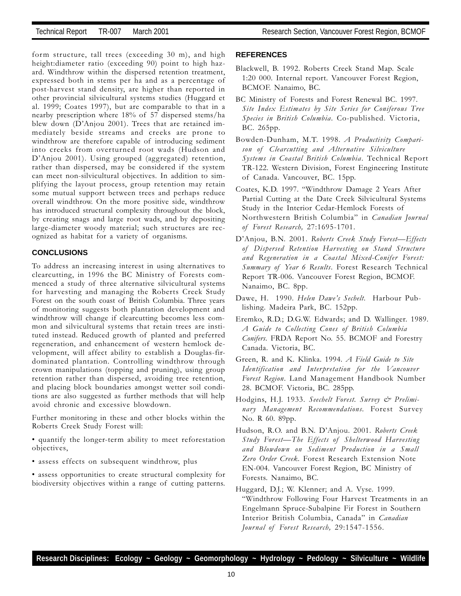form structure, tall trees (exceeding 30 m), and high height:diameter ratio (exceeding 90) point to high hazard. Windthrow within the dispersed retention treatment, expressed both in stems per ha and as a percentage of post-harvest stand density, are higher than reported in other provincial silvicultural systems studies (Huggard et al. 1999; Coates 1997), but are comparable to that in a nearby prescription where 18% of 57 dispersed stems/ha blew down (D'Anjou 2001). Trees that are retained immediately beside streams and creeks are prone to windthrow are therefore capable of introducing sediment into creeks from overturned root wads (Hudson and D'Anjou 2001). Using grouped (aggregated) retention, rather than dispersed, may be considered if the system can meet non-silvicultural objectives. In addition to simplifying the layout process, group retention may retain some mutual support between trees and perhaps reduce overall windthrow. On the more positive side, windthrow has introduced structural complexity throughout the block, by creating snags and large root wads, and by depositing large-diameter woody material; such structures are recognized as habitat for a variety of organisms.

### **CONCLUSIONS**

To address an increasing interest in using alternatives to clearcutting, in 1996 the BC Ministry of Forests commenced a study of three alternative silvicultural systems for harvesting and managing the Roberts Creek Study Forest on the south coast of British Columbia. Three years of monitoring suggests both plantation development and windthrow will change if clearcutting becomes less common and silvicultural systems that retain trees are instituted instead. Reduced growth of planted and preferred regeneration, and enhancement of western hemlock development, will affect ability to establish a Douglas-firdominated plantation. Controlling windthrow through crown manipulations (topping and pruning), using group retention rather than dispersed, avoiding tree retention, and placing block boundaries amongst wetter soil conditions are also suggested as further methods that will help avoid chronic and excessive blowdown.

Further monitoring in these and other blocks within the Roberts Creek Study Forest will:

- quantify the longer-term ability to meet reforestation objectives,
- assess effects on subsequent windthrow, plus
- assess opportunities to create structural complexity for biodiversity objectives within a range of cutting patterns.

### **REFERENCES**

- Blackwell, B. 1992. Roberts Creek Stand Map. Scale 1:20 000. Internal report. Vancouver Forest Region, BCMOF. Nanaimo, BC.
- BC Ministry of Forests and Forest Renewal BC. 1997. Site Index Estimates by Site Series for Coniferous Tree Species in British Columbia. Co-published. Victoria, BC. 265pp.
- Bowden-Dunham, M.T. 1998. A Productivity Comparison of Clearcutting and Alternative Silviculture Systems in Coastal British Columbia. Technical Report TR-122. Western Division, Forest Engineering Institute of Canada. Vancouver, BC. 15pp.
- Coates, K.D. 1997. Windthrow Damage 2 Years After Partial Cutting at the Date Creek Silvicultural Systems Study in the Interior Cedar-Hemlock Forests of Northwestern British Columbia" in Canadian Journal of Forest Research, 27:1695-1701.
- D'Anjou, B.N. 2001. Roberts Creek Study Forest-Effects of Dispersed Retention Harvesting on Stand Structure and Regeneration in a Coastal Mixed-Conifer Forest: Summary of Year 6 Results. Forest Research Technical Report TR-006. Vancouver Forest Region, BCMOF. Nanaimo, BC. 8pp.
- Dawe, H. 1990. Helen Dawe's Sechelt. Harbour Publishing. Madeira Park, BC. 152pp.
- Eremko, R.D.; D.G.W. Edwards; and D. Wallinger. 1989. A Guide to Collecting Cones of British Columbia Conifers. FRDA Report No. 55. BCMOF and Forestry Canada. Victoria, BC.
- Green, R. and K. Klinka. 1994. A Field Guide to Site Identification and Interpretation for the Vancouver Forest Region. Land Management Handbook Number 28. BCMOF. Victoria, BC. 285pp.
- Hodgins, H.J. 1933. Seechelt Forest. Survey & Preliminary Management Recommendations. Forest Survey No. R 60. 89pp.
- Hudson, R.O. and B.N. D'Anjou. 2001. Roberts Creek Study Forest-The Effects of Shelterwood Harvesting and Blowdown on Sediment Production in a Small Zero Order Creek. Forest Research Extension Note EN-004. Vancouver Forest Region, BC Ministry of Forests. Nanaimo, BC.
- Huggard, D.J.; W. Klenner; and A. Vyse. 1999. Windthrow Following Four Harvest Treatments in an Engelmann Spruce-Subalpine Fir Forest in Southern Interior British Columbia, Canada" in Canadian Journal of Forest Research, 29:1547-1556.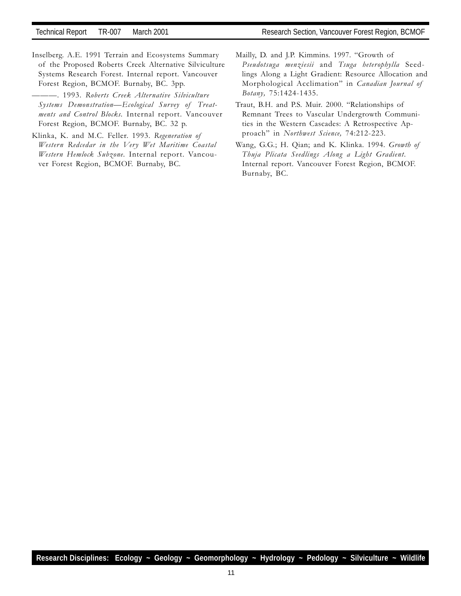Inselberg. A.E. 1991 Terrain and Ecosystems Summary of the Proposed Roberts Creek Alternative Silviculture Systems Research Forest. Internal report. Vancouver Forest Region, BCMOF. Burnaby, BC. 3pp.

. 1993. Roberts Creek Alternative Silviculture Systems Demonstration—Ecological Survey of Treatments and Control Blocks. Internal report. Vancouver Forest Region, BCMOF. Burnaby, BC. 32 p.

- Klinka, K. and M.C. Feller. 1993. Regeneration of Western Redcedar in the Very Wet Maritime Coastal Western Hemlock Subzone. Internal report. Vancouver Forest Region, BCMOF. Burnaby, BC.
- Mailly, D. and J.P. Kimmins. 1997. "Growth of Pseudotsuga menziesii and Tsuga heterophylla Seedlings Along a Light Gradient: Resource Allocation and Morphological Acclimation" in Canadian Journal of Botany, 75:1424-1435.
- Traut, B.H. and P.S. Muir. 2000. "Relationships of Remnant Trees to Vascular Undergrowth Communities in the Western Cascades: A Retrospective Approach" in Northwest Science, 74:212-223.
- Wang, G.G.; H. Qian; and K. Klinka. 1994. Growth of Thuja Plicata Seedlings Along a Light Gradient. Internal report. Vancouver Forest Region, BCMOF. Burnaby, BC.